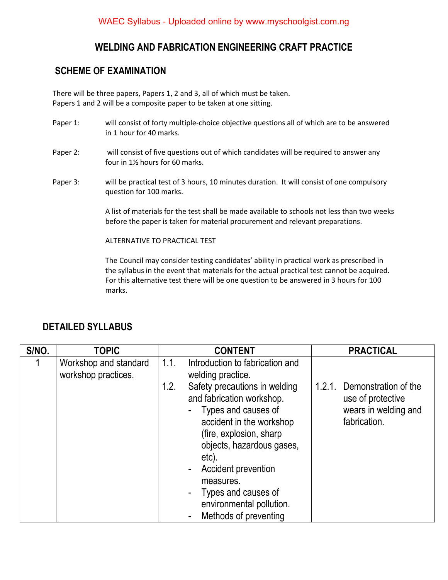#### **WELDING AND FABRICATION ENGINEERING CRAFT PRACTICE**

#### **SCHEME OF EXAMINATION**

There will be three papers, Papers 1, 2 and 3, all of which must be taken. Papers 1 and 2 will be a composite paper to be taken at one sitting.

- Paper 1: will consist of forty multiple-choice objective questions all of which are to be answered in 1 hour for 40 marks.
- Paper 2: will consist of five questions out of which candidates will be required to answer any four in 1½ hours for 60 marks.
- Paper 3: will be practical test of 3 hours, 10 minutes duration. It will consist of one compulsory question for 100 marks.

A list of materials for the test shall be made available to schools not less than two weeks before the paper is taken for material procurement and relevant preparations.

ALTERNATIVE TO PRACTICAL TEST

The Council may consider testing candidates' ability in practical work as prescribed in the syllabus in the event that materials for the actual practical test cannot be acquired. For this alternative test there will be one question to be answered in 3 hours for 100 marks.

### **DETAILED SYLLABUS**

| S/NO. | <b>TOPIC</b>                                 |      | <b>CONTENT</b>                                                                                                                                                                                                                                                                                                                                                  |        | <b>PRACTICAL</b>                                                                  |
|-------|----------------------------------------------|------|-----------------------------------------------------------------------------------------------------------------------------------------------------------------------------------------------------------------------------------------------------------------------------------------------------------------------------------------------------------------|--------|-----------------------------------------------------------------------------------|
|       | Workshop and standard<br>workshop practices. | 1.1. | Introduction to fabrication and<br>welding practice.                                                                                                                                                                                                                                                                                                            |        |                                                                                   |
|       |                                              | 1.2. | Safety precautions in welding<br>and fabrication workshop.<br>Types and causes of<br>accident in the workshop<br>(fire, explosion, sharp)<br>objects, hazardous gases,<br>etc).<br>Accident prevention<br>$\overline{\phantom{a}}$<br>measures.<br>Types and causes of<br>$\blacksquare$<br>environmental pollution.<br>Methods of preventing<br>$\overline{a}$ | 1.2.1. | Demonstration of the<br>use of protective<br>wears in welding and<br>fabrication. |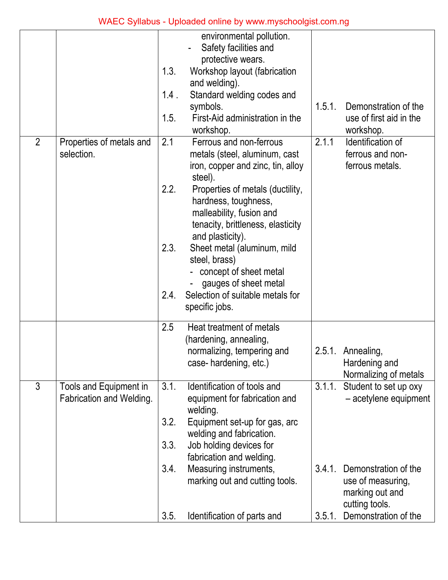|                |                                                    | 1.3.<br>$1.4$ .<br>1.5. | environmental pollution.<br>Safety facilities and<br>protective wears.<br>Workshop layout (fabrication<br>and welding).<br>Standard welding codes and<br>symbols.<br>First-Aid administration in the<br>workshop.                     | 1.5.1.           | Demonstration of the<br>use of first aid in the<br>workshop.                                           |
|----------------|----------------------------------------------------|-------------------------|---------------------------------------------------------------------------------------------------------------------------------------------------------------------------------------------------------------------------------------|------------------|--------------------------------------------------------------------------------------------------------|
| $\overline{2}$ | Properties of metals and<br>selection.             | 2.1<br>2.2.             | Ferrous and non-ferrous<br>metals (steel, aluminum, cast<br>iron, copper and zinc, tin, alloy<br>steel).<br>Properties of metals (ductility,<br>hardness, toughness,<br>malleability, fusion and<br>tenacity, brittleness, elasticity | 2.1.1            | Identification of<br>ferrous and non-<br>ferrous metals.                                               |
|                |                                                    | 2.3.<br>2.4.            | and plasticity).<br>Sheet metal (aluminum, mild<br>steel, brass)<br>concept of sheet metal<br>gauges of sheet metal<br>Selection of suitable metals for<br>specific jobs.                                                             |                  |                                                                                                        |
|                |                                                    | 2.5                     | Heat treatment of metals<br>(hardening, annealing,<br>normalizing, tempering and<br>case-hardening, etc.)                                                                                                                             |                  | 2.5.1. Annealing,<br>Hardening and<br>Normalizing of metals                                            |
| 3              | Tools and Equipment in<br>Fabrication and Welding. | 3.1.<br>3.2.<br>3.3.    | Identification of tools and<br>equipment for fabrication and<br>welding.<br>Equipment set-up for gas, arc<br>welding and fabrication.<br>Job holding devices for<br>fabrication and welding.                                          | 3.1.1.           | Student to set up oxy<br>- acetylene equipment                                                         |
|                |                                                    | 3.4.<br>3.5.            | Measuring instruments,<br>marking out and cutting tools.<br>Identification of parts and                                                                                                                                               | 3.4.1.<br>3.5.1. | Demonstration of the<br>use of measuring,<br>marking out and<br>cutting tools.<br>Demonstration of the |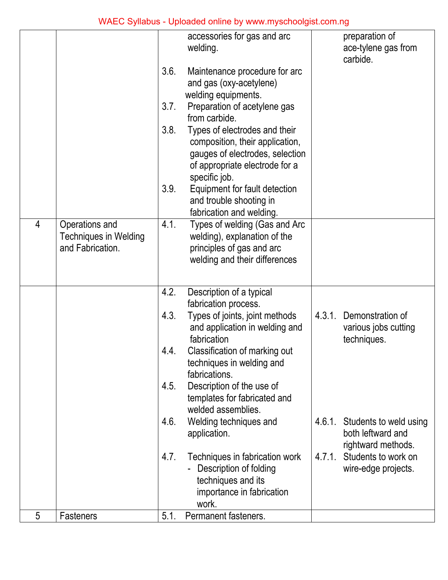|                |                                                  |      | accessories for gas and arc<br>welding.                    |        | preparation of<br>ace-tylene gas from       |
|----------------|--------------------------------------------------|------|------------------------------------------------------------|--------|---------------------------------------------|
|                |                                                  |      |                                                            |        | carbide.                                    |
|                |                                                  | 3.6. | Maintenance procedure for arc                              |        |                                             |
|                |                                                  |      | and gas (oxy-acetylene)<br>welding equipments.             |        |                                             |
|                |                                                  | 3.7. | Preparation of acetylene gas                               |        |                                             |
|                |                                                  |      | from carbide.                                              |        |                                             |
|                |                                                  | 3.8. | Types of electrodes and their                              |        |                                             |
|                |                                                  |      | composition, their application,                            |        |                                             |
|                |                                                  |      | gauges of electrodes, selection                            |        |                                             |
|                |                                                  |      | of appropriate electrode for a<br>specific job.            |        |                                             |
|                |                                                  | 3.9. | Equipment for fault detection                              |        |                                             |
|                |                                                  |      | and trouble shooting in                                    |        |                                             |
|                |                                                  |      | fabrication and welding.                                   |        |                                             |
| $\overline{4}$ | Operations and                                   | 4.1. | Types of welding (Gas and Arc                              |        |                                             |
|                | <b>Techniques in Welding</b><br>and Fabrication. |      | welding), explanation of the<br>principles of gas and arc  |        |                                             |
|                |                                                  |      | welding and their differences                              |        |                                             |
|                |                                                  |      |                                                            |        |                                             |
|                |                                                  | 4.2. | Description of a typical                                   |        |                                             |
|                |                                                  |      | fabrication process.                                       |        |                                             |
|                |                                                  | 4.3. | Types of joints, joint methods                             | 4.3.1. | Demonstration of                            |
|                |                                                  |      | and application in welding and                             |        | various jobs cutting                        |
|                |                                                  |      | fabrication                                                |        | techniques.                                 |
|                |                                                  | 4.4. | Classification of marking out<br>techniques in welding and |        |                                             |
|                |                                                  |      | fabrications.                                              |        |                                             |
|                |                                                  | 4.5. | Description of the use of                                  |        |                                             |
|                |                                                  |      | templates for fabricated and                               |        |                                             |
|                |                                                  |      | welded assemblies.                                         |        |                                             |
|                |                                                  | 4.6. | Welding techniques and<br>application.                     | 4.6.1. | Students to weld using<br>both leftward and |
|                |                                                  |      |                                                            |        | rightward methods.                          |
|                |                                                  | 4.7. | Techniques in fabrication work                             | 4.7.1. | Students to work on                         |
|                |                                                  |      | Description of folding                                     |        | wire-edge projects.                         |
|                |                                                  |      | techniques and its                                         |        |                                             |
|                |                                                  |      | importance in fabrication<br>work.                         |        |                                             |
| 5              | <b>Fasteners</b>                                 | 5.1. | Permanent fasteners.                                       |        |                                             |
|                |                                                  |      |                                                            |        |                                             |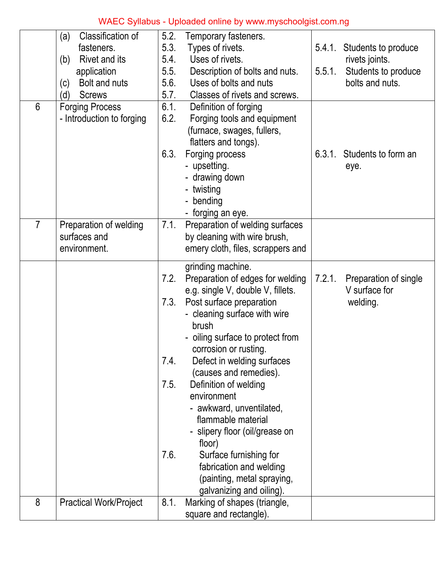|                | Classification of<br>(a)      | 5.2. | Temporary fasteners.              |        |                            |
|----------------|-------------------------------|------|-----------------------------------|--------|----------------------------|
|                | fasteners.                    | 5.3. | Types of rivets.                  | 5.4.1. | Students to produce        |
|                | Rivet and its<br>(b)          | 5.4. | Uses of rivets.                   |        | rivets joints.             |
|                | application                   | 5.5. | Description of bolts and nuts.    | 5.5.1. | Students to produce        |
|                | Bolt and nuts<br>(c)          | 5.6. | Uses of bolts and nuts            |        | bolts and nuts.            |
|                | (d)<br><b>Screws</b>          | 5.7. | Classes of rivets and screws.     |        |                            |
| 6              | <b>Forging Process</b>        | 6.1. | Definition of forging             |        |                            |
|                | - Introduction to forging     | 6.2. | Forging tools and equipment       |        |                            |
|                |                               |      | (furnace, swages, fullers,        |        |                            |
|                |                               |      | flatters and tongs).              |        |                            |
|                |                               | 6.3. | Forging process                   |        | 6.3.1. Students to form an |
|                |                               |      | - upsetting.                      |        | eye.                       |
|                |                               |      | - drawing down                    |        |                            |
|                |                               |      | - twisting                        |        |                            |
|                |                               |      | - bending                         |        |                            |
|                |                               |      | - forging an eye.                 |        |                            |
| $\overline{7}$ | Preparation of welding        | 7.1. | Preparation of welding surfaces   |        |                            |
|                | surfaces and                  |      | by cleaning with wire brush,      |        |                            |
|                | environment.                  |      | emery cloth, files, scrappers and |        |                            |
|                |                               |      | grinding machine.                 |        |                            |
|                |                               | 7.2. | Preparation of edges for welding  | 7.2.1. | Preparation of single      |
|                |                               |      | e.g. single V, double V, fillets. |        | V surface for              |
|                |                               | 7.3. | Post surface preparation          |        | welding.                   |
|                |                               |      | - cleaning surface with wire      |        |                            |
|                |                               |      | brush                             |        |                            |
|                |                               |      | - oiling surface to protect from  |        |                            |
|                |                               |      | corrosion or rusting.             |        |                            |
|                |                               | 7.4. | Defect in welding surfaces        |        |                            |
|                |                               |      | (causes and remedies).            |        |                            |
|                |                               | 7.5. | Definition of welding             |        |                            |
|                |                               |      | environment                       |        |                            |
|                |                               |      | - awkward, unventilated,          |        |                            |
|                |                               |      | flammable material                |        |                            |
|                |                               |      | - slipery floor (oil/grease on    |        |                            |
|                |                               |      | floor)                            |        |                            |
|                |                               | 7.6. | Surface furnishing for            |        |                            |
|                |                               |      | fabrication and welding           |        |                            |
|                |                               |      | (painting, metal spraying,        |        |                            |
|                |                               |      | galvanizing and oiling).          |        |                            |
| 8              | <b>Practical Work/Project</b> | 8.1. | Marking of shapes (triangle,      |        |                            |
|                |                               |      | square and rectangle).            |        |                            |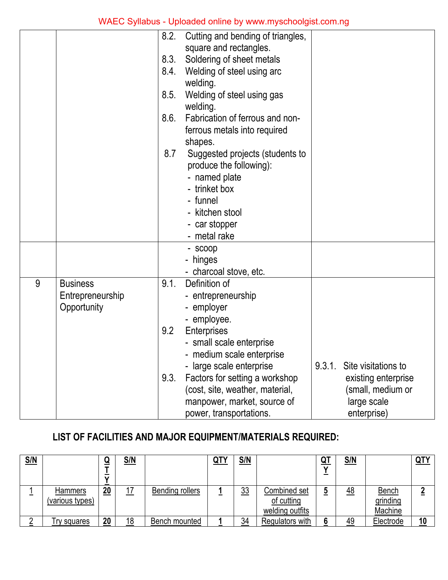|   |                  | 8.2. | Cutting and bending of triangles,<br>square and rectangles. |        |                     |
|---|------------------|------|-------------------------------------------------------------|--------|---------------------|
|   |                  | 8.3. | Soldering of sheet metals                                   |        |                     |
|   |                  | 8.4. | Welding of steel using arc                                  |        |                     |
|   |                  |      | welding.                                                    |        |                     |
|   |                  | 8.5. | Welding of steel using gas                                  |        |                     |
|   |                  |      | welding.                                                    |        |                     |
|   |                  | 8.6. | Fabrication of ferrous and non-                             |        |                     |
|   |                  |      | ferrous metals into required                                |        |                     |
|   |                  |      | shapes.                                                     |        |                     |
|   |                  | 8.7  | Suggested projects (students to                             |        |                     |
|   |                  |      | produce the following):                                     |        |                     |
|   |                  |      | - named plate                                               |        |                     |
|   |                  |      | - trinket box                                               |        |                     |
|   |                  |      | - funnel                                                    |        |                     |
|   |                  |      | - kitchen stool                                             |        |                     |
|   |                  |      | - car stopper                                               |        |                     |
|   |                  |      | - metal rake                                                |        |                     |
|   |                  |      | - scoop                                                     |        |                     |
|   |                  |      | - hinges                                                    |        |                     |
|   |                  |      | - charcoal stove, etc.                                      |        |                     |
| 9 | <b>Business</b>  | 9.1. | Definition of                                               |        |                     |
|   | Entrepreneurship |      | - entrepreneurship                                          |        |                     |
|   | Opportunity      |      | - employer                                                  |        |                     |
|   |                  |      | - employee.                                                 |        |                     |
|   |                  | 9.2  | Enterprises                                                 |        |                     |
|   |                  |      | - small scale enterprise                                    |        |                     |
|   |                  |      | - medium scale enterprise                                   |        |                     |
|   |                  |      | - large scale enterprise                                    | 9.3.1. | Site visitations to |
|   |                  | 9.3. | Factors for setting a workshop                              |        | existing enterprise |
|   |                  |      | (cost, site, weather, material,                             |        | (small, medium or   |
|   |                  |      | manpower, market, source of                                 |        | large scale         |
|   |                  |      | power, transportations.                                     |        | enterprise)         |

## **LIST OF FACILITIES AND MAJOR EQUIPMENT/MATERIALS REQUIRED:**

| <u>S/N</u> |                 |    | <u>S/N</u> |                        | <u>QTY</u> | <u>S/N</u> |                 | <u>Q1</u> | <u>S/N</u> |              | QTY |
|------------|-----------------|----|------------|------------------------|------------|------------|-----------------|-----------|------------|--------------|-----|
|            |                 |    |            |                        |            |            |                 |           |            |              |     |
|            |                 |    |            |                        |            |            |                 |           |            |              |     |
|            | <b>Hammers</b>  | 20 | ⇁          | <b>Bending rollers</b> |            | 33         | Combined set    |           | 48         | <b>Bench</b> |     |
|            | (various types) |    |            |                        |            |            | of cutting      |           |            | grinding     |     |
|            |                 |    |            |                        |            |            | welding outfits |           |            | Machine      |     |
|            | Try squares     | 20 | 18         | Bench mounted          |            | 34         | Regulators with |           | 49         | Electrode    | 10  |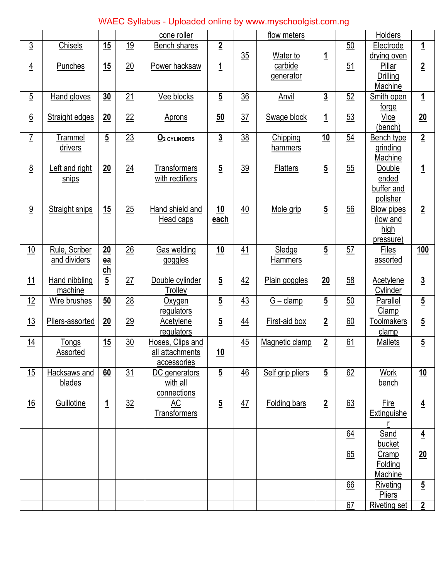|                 |                                  |                   |                | cone roller                                        |                          |                | flow meters              |                |                  | Holders                                                   |                  |
|-----------------|----------------------------------|-------------------|----------------|----------------------------------------------------|--------------------------|----------------|--------------------------|----------------|------------------|-----------------------------------------------------------|------------------|
| $\underline{3}$ | Chisels                          | 15                | 19             | <b>Bench shares</b>                                | $\overline{2}$           | 35             | Water to                 | $\overline{1}$ | 50               | Electrode<br>drying oven                                  | $\overline{1}$   |
| $\overline{4}$  | Punches                          | 15                | 20             | Power hacksaw                                      | $\overline{1}$           |                | carbide<br>generator     |                | 51               | Pillar<br>Drilling<br>Machine                             | $\overline{2}$   |
| $\overline{5}$  | <b>Hand gloves</b>               | 30                | 21             | Vee blocks                                         | $\overline{5}$           | $\frac{36}{5}$ | Anvil                    | $\overline{3}$ | 52               | Smith open<br>forge                                       | $\overline{1}$   |
| $\underline{6}$ | <b>Straight edges</b>            | 20                | 22             | <b>Aprons</b>                                      | 50                       | $\frac{37}{2}$ | <b>Swage block</b>       | $\overline{1}$ | $\underline{53}$ | Vice<br>(bench)                                           | 20               |
| $\overline{I}$  | <b>Trammel</b><br><u>drivers</u> | $\overline{5}$    | 23             | O <sub>2</sub> CYLINDERS                           | $\overline{3}$           | 38             | Chipping<br>hammers      | 10             | 54               | <b>Bench type</b><br>grinding<br>Machine                  | $\overline{2}$   |
| 8               | Left and right<br>snips          | 20                | 24             | <b>Transformers</b><br>with rectifiers             | $\overline{5}$           | 39             | <b>Flatters</b>          | $\overline{5}$ | 55               | Double<br>ended<br>buffer and<br>polisher                 | $\mathbf{1}$     |
| $\overline{9}$  | <b>Straight snips</b>            | 15                | 25             | Hand shield and<br>Head caps                       | $\underline{10}$<br>each | 40             | Mole grip                | $\overline{5}$ | 56               | <b>Blow pipes</b><br>(low and<br><u>high</u><br>pressure) | $\overline{2}$   |
| 10              | Rule, Scriber<br>and dividers    | 20<br>$e$ a<br>ch | 26             | <b>Gas welding</b><br>goggles                      | $\underline{10}$         | 41             | Sledge<br><b>Hammers</b> | $\overline{5}$ | 57               | Files<br>assorted                                         | <u>100</u>       |
| 11              | Hand nibbling<br>machine         | $\overline{5}$    | 27             | Double cylinder<br>Trolley                         | $\overline{5}$           | 42             | Plain goggles            | 20             | 58               | Acetylene<br>Cylinder                                     | $\overline{3}$   |
| 12              | Wire brushes                     | 50                | $\frac{28}{2}$ | Oxygen<br>regulators                               | $\overline{5}$           | 43             | $G - clamp$              | $\overline{5}$ | 50               | Parallel<br>Clamp                                         | $\overline{5}$   |
| 13              | Pliers-assorted                  | 20                | 29             | Acetylene<br>regulators                            | $\overline{5}$           | 44             | First-aid box            | $\overline{2}$ | 60               | <u>Toolmakers</u><br>clamp                                | $\overline{5}$   |
| 14              | <u>Tongs</u><br><b>Assorted</b>  | 15                | $\frac{30}{2}$ | Hoses, Clips and<br>all attachments<br>accessories | 10                       | 45             | Magnetic clamp           | $\overline{2}$ | 61               | <b>Mallets</b>                                            | $\overline{5}$   |
| 15              | Hacksaws and<br>blades           | 60                | $\frac{31}{2}$ | DC generators<br>with all<br>connections           | $\overline{5}$           | $\frac{46}{5}$ | Self grip pliers         | $\overline{5}$ | 62               | <b>Work</b><br>bench                                      | $\underline{10}$ |
| 16              | Guillotine                       | $\overline{1}$    | 32             | AC<br><b>Transformers</b>                          | $\overline{5}$           | 47             | <b>Folding bars</b>      | $\overline{2}$ | 63               | Fire<br>Extinguishe                                       | $\overline{4}$   |
|                 |                                  |                   |                |                                                    |                          |                |                          |                | 64               | Sand<br>bucket                                            | $\overline{4}$   |
|                 |                                  |                   |                |                                                    |                          |                |                          |                | 65               | Cramp<br>Folding<br>Machine                               | 20               |
|                 |                                  |                   |                |                                                    |                          |                |                          |                | 66               | Riveting<br>Pliers                                        | $\overline{5}$   |
|                 |                                  |                   |                |                                                    |                          |                |                          |                | 67               | <b>Riveting set</b>                                       | $\overline{2}$   |